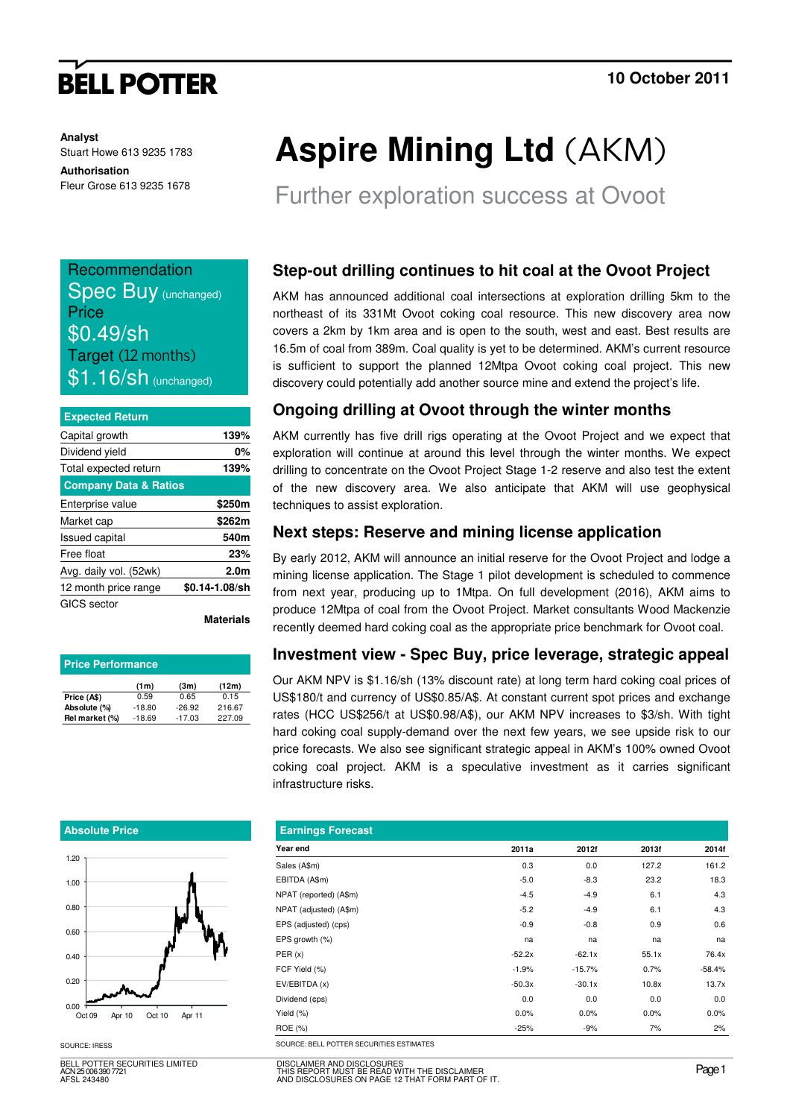# **BELL POTTER**

**Analyst** Stuart Howe 613 9235 1783

**Authorisation**  Fleur Grose 613 9235 1678

| Recommendation              |
|-----------------------------|
| <b>Spec Buy (unchanged)</b> |
| Price                       |
| \$0.49/sh                   |
| Target (12 months)          |
| $$1.16$ Sn (unchanged)      |

| <b>Expected Return</b>           |                  |
|----------------------------------|------------------|
| Capital growth                   | 139%             |
| Dividend yield                   | 0%               |
| Total expected return            | 139%             |
| <b>Company Data &amp; Ratios</b> |                  |
| Enterprise value                 | \$250m           |
| Market cap                       | \$262m           |
| <b>Issued capital</b>            | 540m             |
| Free float                       | 23%              |
| Avg. daily vol. (52wk)           | 2.0 <sub>m</sub> |
| 12 month price range             | \$0.14-1.08/sh   |
| GICS sector                      |                  |

**Materials**

| <b>Price Performance</b> |          |          |        |  |  |  |  |
|--------------------------|----------|----------|--------|--|--|--|--|
|                          | (1m)     | (3m)     | (12m)  |  |  |  |  |
| Price (A\$)              | 0.59     | 0.65     | 0.15   |  |  |  |  |
| Absolute (%)             | $-18.80$ | $-26.92$ | 216.67 |  |  |  |  |
| Rel market (%)           | $-18.69$ | $-17.03$ | 227.09 |  |  |  |  |

#### **Absolute Price**



BELL POTTER SECURITIES LIMITED ACN 25 006 390 7721 AFSL 243480

# **Aspire Mining Ltd** (AKM)

Further exploration success at Ovoot

### **Step-out drilling continues to hit coal at the Ovoot Project**

AKM has announced additional coal intersections at exploration drilling 5km to the northeast of its 331Mt Ovoot coking coal resource. This new discovery area now covers a 2km by 1km area and is open to the south, west and east. Best results are 16.5m of coal from 389m. Coal quality is yet to be determined. AKM's current resource is sufficient to support the planned 12Mtpa Ovoot coking coal project. This new discovery could potentially add another source mine and extend the project's life.

### **Ongoing drilling at Ovoot through the winter months**

AKM currently has five drill rigs operating at the Ovoot Project and we expect that exploration will continue at around this level through the winter months. We expect drilling to concentrate on the Ovoot Project Stage 1-2 reserve and also test the extent of the new discovery area. We also anticipate that AKM will use geophysical techniques to assist exploration.

#### **Next steps: Reserve and mining license application**

By early 2012, AKM will announce an initial reserve for the Ovoot Project and lodge a mining license application. The Stage 1 pilot development is scheduled to commence from next year, producing up to 1Mtpa. On full development (2016), AKM aims to produce 12Mtpa of coal from the Ovoot Project. Market consultants Wood Mackenzie recently deemed hard coking coal as the appropriate price benchmark for Ovoot coal.

#### **Investment view - Spec Buy, price leverage, strategic appeal**

Our AKM NPV is \$1.16/sh (13% discount rate) at long term hard coking coal prices of US\$180/t and currency of US\$0.85/A\$. At constant current spot prices and exchange rates (HCC US\$256/t at US\$0.98/A\$), our AKM NPV increases to \$3/sh. With tight hard coking coal supply-demand over the next few years, we see upside risk to our price forecasts. We also see significant strategic appeal in AKM's 100% owned Ovoot coking coal project. AKM is a speculative investment as it carries significant infrastructure risks.

| <b>Earnings Forecast</b> |          |          |       |          |
|--------------------------|----------|----------|-------|----------|
| Year end                 | 2011a    | 2012f    | 2013f | 2014f    |
| Sales (A\$m)             | 0.3      | 0.0      | 127.2 | 161.2    |
| EBITDA (A\$m)            | $-5.0$   | $-8.3$   | 23.2  | 18.3     |
| NPAT (reported) (A\$m)   | $-4.5$   | $-4.9$   | 6.1   | 4.3      |
| NPAT (adjusted) (A\$m)   | $-5.2$   | $-4.9$   | 6.1   | 4.3      |
| EPS (adjusted) (cps)     | $-0.9$   | $-0.8$   | 0.9   | 0.6      |
| EPS growth (%)           | na       | na       | na    | na       |
| PER(x)                   | $-52.2x$ | $-62.1x$ | 55.1x | 76.4x    |
| FCF Yield (%)            | $-1.9%$  | $-15.7%$ | 0.7%  | $-58.4%$ |
| EV/EBITDA (x)            | $-50.3x$ | $-30.1x$ | 10.8x | 13.7x    |
| Dividend (¢ps)           | 0.0      | 0.0      | 0.0   | 0.0      |
| Yield (%)                | 0.0%     | 0.0%     | 0.0%  | 0.0%     |
| ROE (%)                  | $-25%$   | $-9%$    | 7%    | 2%       |

SOURCE: IRESS SOURCE: BELL POTTER SECURITIES ESTIMATES

DISCLAIMER AND DISCLOSURES THIS REPORT MUST BE READ WITH THE DISCLAIMER AND DISCLOSURES ON PAGE 12 THAT FORM PART OF IT.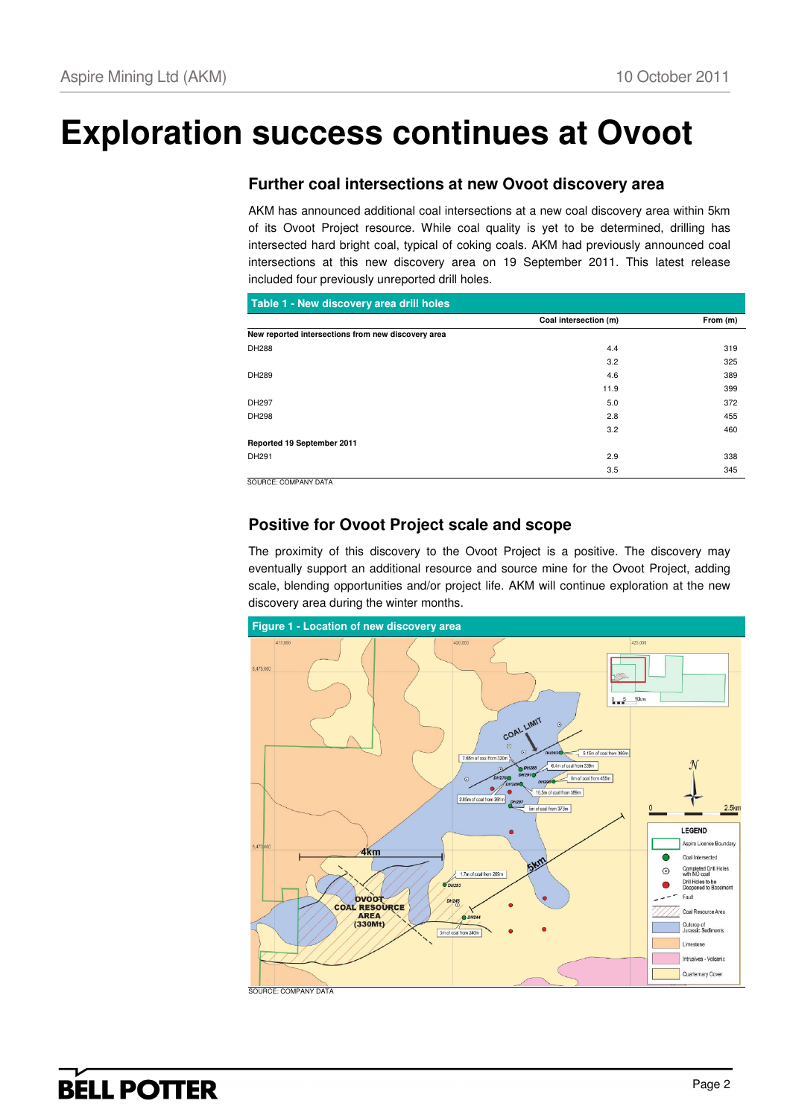# **Exploration success continues at Ovoot**

## **Further coal intersections at new Ovoot discovery area**

AKM has announced additional coal intersections at a new coal discovery area within 5km of its Ovoot Project resource. While coal quality is yet to be determined, drilling has intersected hard bright coal, typical of coking coals. AKM had previously announced coal intersections at this new discovery area on 19 September 2011. This latest release included four previously unreported drill holes.

| Coal intersection (m) | From (m) |
|-----------------------|----------|
|                       |          |
| 4.4                   | 319      |
| 3.2                   | 325      |
| 4.6                   | 389      |
| 11.9                  | 399      |
| 5.0                   | 372      |
| 2.8                   | 455      |
| 3.2                   | 460      |
|                       |          |
| 2.9                   | 338      |
| 3.5                   | 345      |
|                       |          |

## **Positive for Ovoot Project scale and scope**

The proximity of this discovery to the Ovoot Project is a positive. The discovery may eventually support an additional resource and source mine for the Ovoot Project, adding scale, blending opportunities and/or project life. AKM will continue exploration at the new discovery area during the winter months.

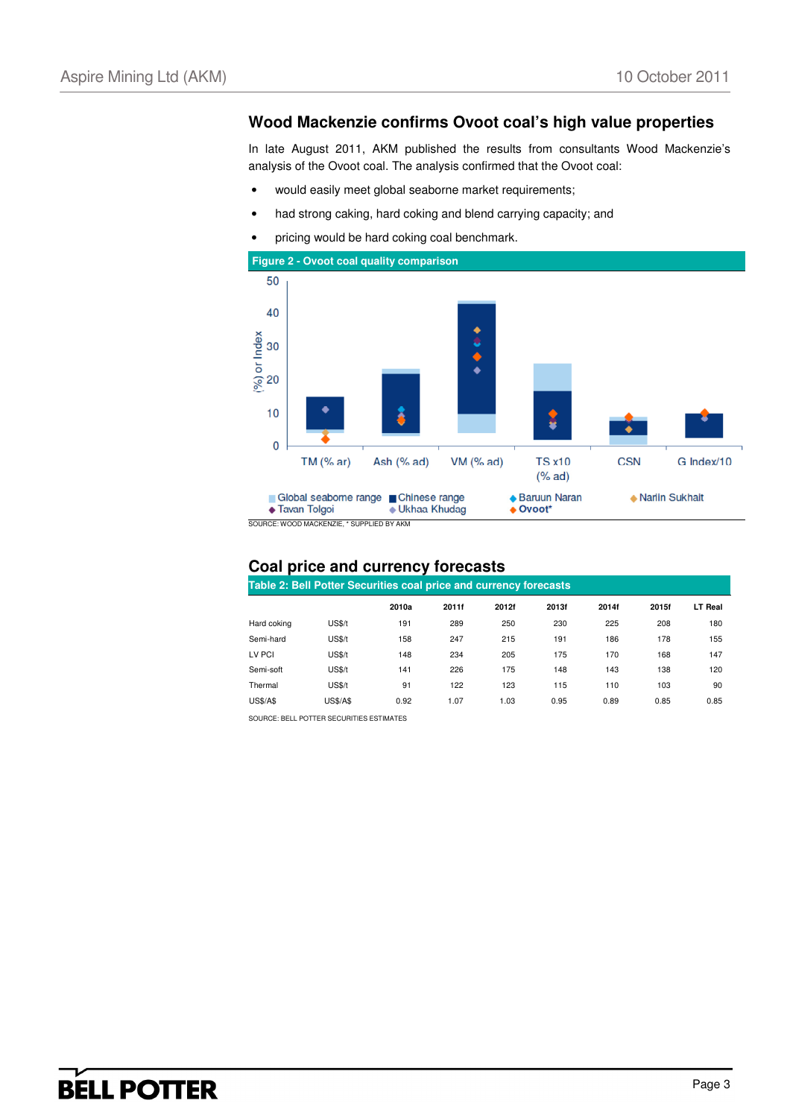#### **Wood Mackenzie confirms Ovoot coal's high value properties**

In late August 2011, AKM published the results from consultants Wood Mackenzie's analysis of the Ovoot coal. The analysis confirmed that the Ovoot coal:

- would easily meet global seaborne market requirements;
- had strong caking, hard coking and blend carrying capacity; and
- pricing would be hard coking coal benchmark.



SOURCE: WOOD MACKENZIE, \* SUPPLIED BY AKM

#### **Coal price and currency forecasts**

| Table 2: Bell Potter Securities coal price and currency forecasts |                 |       |       |       |       |       |       |                |  |
|-------------------------------------------------------------------|-----------------|-------|-------|-------|-------|-------|-------|----------------|--|
|                                                                   |                 | 2010a | 2011f | 2012f | 2013f | 2014f | 2015f | <b>LT Real</b> |  |
| Hard coking                                                       | <b>US\$/t</b>   | 191   | 289   | 250   | 230   | 225   | 208   | 180            |  |
| Semi-hard                                                         | <b>US\$/t</b>   | 158   | 247   | 215   | 191   | 186   | 178   | 155            |  |
| LV PCI                                                            | US\$/t          | 148   | 234   | 205   | 175   | 170   | 168   | 147            |  |
| Semi-soft                                                         | <b>US\$/t</b>   | 141   | 226   | 175   | 148   | 143   | 138   | 120            |  |
| Thermal                                                           | <b>US\$/t</b>   | 91    | 122   | 123   | 115   | 110   | 103   | 90             |  |
| <b>US\$/A\$</b>                                                   | <b>US\$/A\$</b> | 0.92  | 1.07  | 1.03  | 0.95  | 0.89  | 0.85  | 0.85           |  |

SOURCE: BELL POTTER SECURITIES ESTIMATES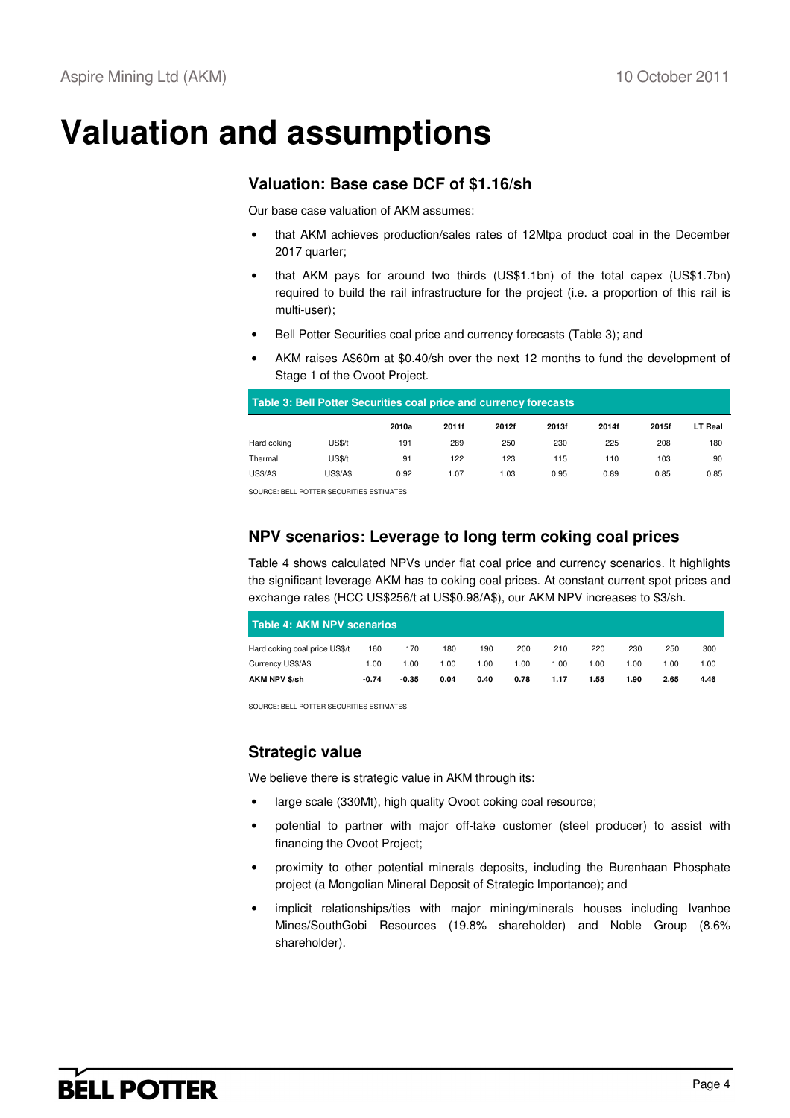## **Valuation and assumptions**

#### **Valuation: Base case DCF of \$1.16/sh**

Our base case valuation of AKM assumes:

- that AKM achieves production/sales rates of 12Mtpa product coal in the December 2017 quarter;
- that AKM pays for around two thirds (US\$1.1bn) of the total capex (US\$1.7bn) required to build the rail infrastructure for the project (i.e. a proportion of this rail is multi-user);
- Bell Potter Securities coal price and currency forecasts (Table 3); and
- AKM raises A\$60m at \$0.40/sh over the next 12 months to fund the development of Stage 1 of the Ovoot Project.

| Table 3: Bell Potter Securities coal price and currency forecasts |                 |       |       |       |       |       |       |                |  |
|-------------------------------------------------------------------|-----------------|-------|-------|-------|-------|-------|-------|----------------|--|
|                                                                   |                 | 2010a | 2011f | 2012f | 2013f | 2014f | 2015f | <b>LT Real</b> |  |
| Hard coking                                                       | <b>US\$/t</b>   | 191   | 289   | 250   | 230   | 225   | 208   | 180            |  |
| Thermal                                                           | <b>US\$/t</b>   | 91    | 122   | 123   | 115   | 110   | 103   | 90             |  |
| <b>US\$/A\$</b>                                                   | <b>US\$/A\$</b> | 0.92  | 1.07  | 1.03  | 0.95  | 0.89  | 0.85  | 0.85           |  |

SOURCE: BELL POTTER SECURITIES ESTIMATES

### **NPV scenarios: Leverage to long term coking coal prices**

Table 4 shows calculated NPVs under flat coal price and currency scenarios. It highlights the significant leverage AKM has to coking coal prices. At constant current spot prices and exchange rates (HCC US\$256/t at US\$0.98/A\$), our AKM NPV increases to \$3/sh.

| <b>Table 4: AKM NPV scenarios</b> |         |         |      |       |      |      |      |      |       |      |
|-----------------------------------|---------|---------|------|-------|------|------|------|------|-------|------|
| Hard coking coal price US\$/t     | 160     | 170     | 180  | 190   | 200  | 210  | 220  | 230  | 250   | 300  |
| Currency US\$/A\$                 | 1.00    | 1.00    | 1.00 | 00. ا | 1.00 | 1.00 | 1.00 | .00  | 00. ا | 1.00 |
| AKM NPV \$/sh                     | $-0.74$ | $-0.35$ | 0.04 | 0.40  | 0.78 | 1.17 | 1.55 | 1.90 | 2.65  | 4.46 |

SOURCE: BELL POTTER SECURITIES ESTIMATES

### **Strategic value**

We believe there is strategic value in AKM through its:

- large scale (330Mt), high quality Ovoot coking coal resource;
- potential to partner with major off-take customer (steel producer) to assist with financing the Ovoot Project;
- proximity to other potential minerals deposits, including the Burenhaan Phosphate project (a Mongolian Mineral Deposit of Strategic Importance); and
- implicit relationships/ties with major mining/minerals houses including Ivanhoe Mines/SouthGobi Resources (19.8% shareholder) and Noble Group (8.6% shareholder).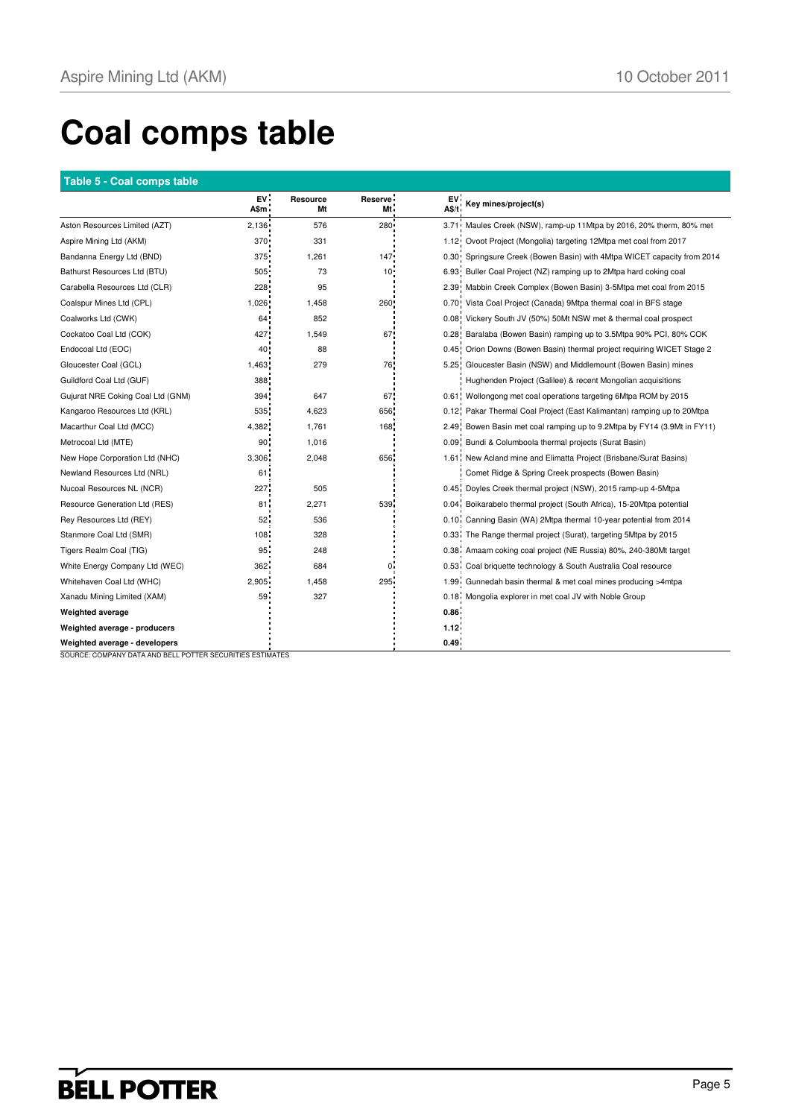# **Coal comps table**

#### **Table 5 - Coal comps table**

|                                   | ${\sf EV}$<br>A\$m | Resource<br>Mt | Reserve ·<br>Mt. | EV.<br>A\$/t | Key mines/project(s)                                                    |
|-----------------------------------|--------------------|----------------|------------------|--------------|-------------------------------------------------------------------------|
| Aston Resources Limited (AZT)     | 2.136              | 576            | 280              |              | 3.71 Maules Creek (NSW), ramp-up 11Mtpa by 2016, 20% therm, 80% met     |
| Aspire Mining Ltd (AKM)           | $370 -$            | 331            |                  |              | 1.12 Ovoot Project (Mongolia) targeting 12Mtpa met coal from 2017       |
| Bandanna Energy Ltd (BND)         | 375                | 1,261          | $147 -$          |              | 0.30 Springsure Creek (Bowen Basin) with 4Mtpa WICET capacity from 2014 |
| Bathurst Resources Ltd (BTU)      | 505                | 73             | $10 -$           |              | 6.93 Buller Coal Project (NZ) ramping up to 2Mtpa hard coking coal      |
| Carabella Resources Ltd (CLR)     | 228                | 95             |                  |              | 2.39 Mabbin Creek Complex (Bowen Basin) 3-5Mtpa met coal from 2015      |
| Coalspur Mines Ltd (CPL)          | 1,026              | 1,458          | 260!             |              | 0.70 Vista Coal Project (Canada) 9Mtpa thermal coal in BFS stage        |
| Coalworks Ltd (CWK)               | 64.                | 852            |                  |              | 0.08 Vickery South JV (50%) 50Mt NSW met & thermal coal prospect        |
| Cockatoo Coal Ltd (COK)           | 427                | 1,549          | 67               |              | 0.28 Baralaba (Bowen Basin) ramping up to 3.5Mtpa 90% PCI, 80% COK      |
| Endocoal Ltd (EOC)                | 40.                | 88             |                  |              | 0.45 Orion Downs (Bowen Basin) thermal project requiring WICET Stage 2  |
| Gloucester Coal (GCL)             | 1,463              | 279            | 76               |              | 5.25 Gloucester Basin (NSW) and Middlemount (Bowen Basin) mines         |
| Guildford Coal Ltd (GUF)          | 388                |                |                  |              | Hughenden Project (Galilee) & recent Mongolian acquisitions             |
| Gujurat NRE Coking Coal Ltd (GNM) | 394                | 647            | 67.              |              | 0.61 Wollongong met coal operations targeting 6Mtpa ROM by 2015         |
| Kangaroo Resources Ltd (KRL)      | 535                | 4,623          | 656              |              | 0.12 Pakar Thermal Coal Project (East Kalimantan) ramping up to 20Mtpa  |
| Macarthur Coal Ltd (MCC)          | 4,382              | 1,761          | 168              |              | 2.49 Bowen Basin met coal ramping up to 9.2Mtpa by FY14 (3.9Mt in FY11) |
| Metrocoal Ltd (MTE)               | 90                 | 1,016          |                  |              | 0.09 Bundi & Columboola thermal projects (Surat Basin)                  |
| New Hope Corporation Ltd (NHC)    | 3,306              | 2,048          | 656              |              | 1.61 New Acland mine and Elimatta Project (Brisbane/Surat Basins)       |
| Newland Resources Ltd (NRL)       | 61.                |                |                  |              | Comet Ridge & Spring Creek prospects (Bowen Basin)                      |
| Nucoal Resources NL (NCR)         | 227                | 505            |                  |              | 0.45 Doyles Creek thermal project (NSW), 2015 ramp-up 4-5Mtpa           |
| Resource Generation Ltd (RES)     | 81                 | 2,271          | 539              |              | 0.04 Boikarabelo thermal project (South Africa), 15-20Mtpa potential    |
| Rey Resources Ltd (REY)           | 52.                | 536            |                  |              | 0.10 Canning Basin (WA) 2Mtpa thermal 10-year potential from 2014       |
| Stanmore Coal Ltd (SMR)           | 108.               | 328            |                  |              | 0.33. The Range thermal project (Surat), targeting 5Mtpa by 2015        |
| Tigers Realm Coal (TIG)           | 95                 | 248            |                  |              | 0.38 Amaam coking coal project (NE Russia) 80%, 240-380Mt target        |
| White Energy Company Ltd (WEC)    | 362                | 684            | $\mathbf{0}$ :   |              | 0.53 Coal briquette technology & South Australia Coal resource          |
| Whitehaven Coal Ltd (WHC)         | 2,905              | 1,458          | 295              |              | 1.99 Gunnedah basin thermal & met coal mines producing >4mtpa           |
| Xanadu Mining Limited (XAM)       | 59                 | 327            |                  |              | 0.18 Mongolia explorer in met coal JV with Noble Group                  |
| <b>Weighted average</b>           |                    |                |                  | 0.86         |                                                                         |
| Weighted average - producers      |                    |                |                  | 1.12.        |                                                                         |
| Weighted average - developers     |                    |                |                  | 0.49         |                                                                         |

SOURCE: COMPANY DATA AND BELL POTTER SECURITIES ESTIMATES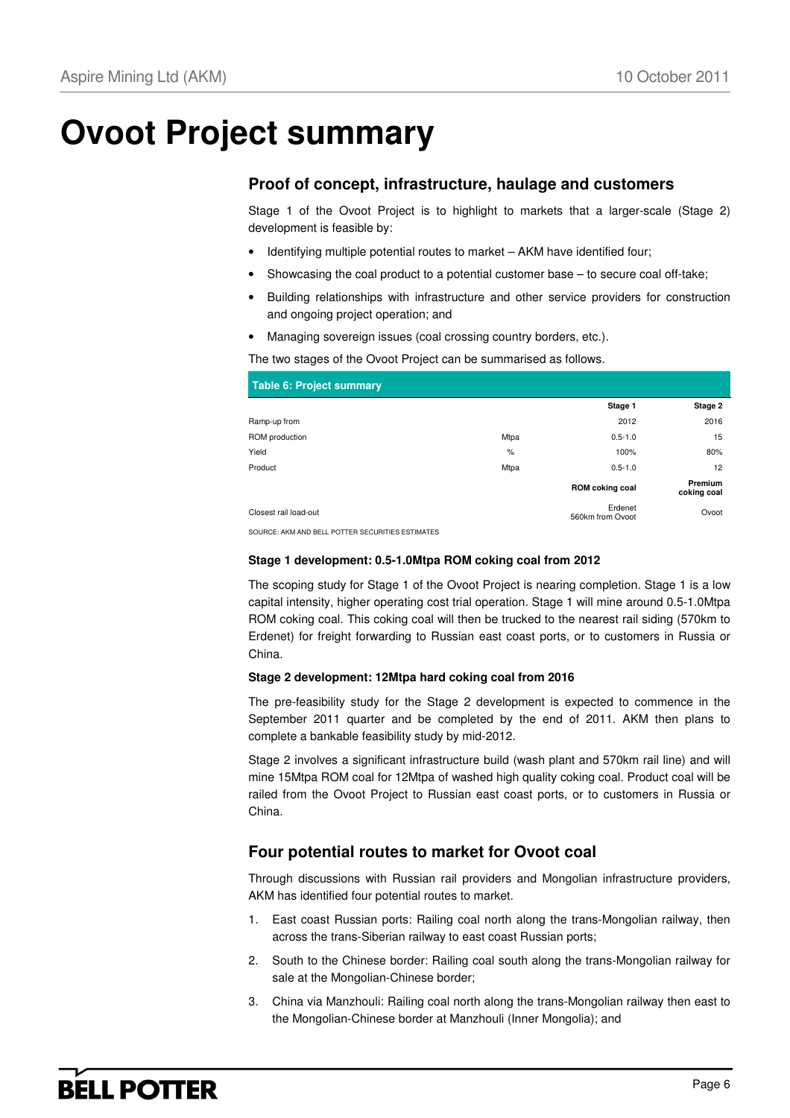## **Ovoot Project summary**

### **Proof of concept, infrastructure, haulage and customers**

Stage 1 of the Ovoot Project is to highlight to markets that a larger-scale (Stage 2) development is feasible by:

- Identifying multiple potential routes to market AKM have identified four;
- Showcasing the coal product to a potential customer base to secure coal off-take;
- Building relationships with infrastructure and other service providers for construction and ongoing project operation; and
- Managing sovereign issues (coal crossing country borders, etc.).

The two stages of the Ovoot Project can be summarised as follows.

| Table 6: Project summary |      |                             |                        |
|--------------------------|------|-----------------------------|------------------------|
|                          |      | Stage 1                     | Stage 2                |
| Ramp-up from             |      | 2012                        | 2016                   |
| ROM production           | Mtpa | $0.5 - 1.0$                 | 15                     |
| Yield                    | %    | 100%                        | 80%                    |
| Product                  | Mtpa | $0.5 - 1.0$                 | 12                     |
|                          |      | ROM coking coal             | Premium<br>coking coal |
| Closest rail load-out    |      | Erdenet<br>560km from Ovoot | Ovoot                  |
|                          |      |                             |                        |

SOURCE: AKM AND BELL POTTER SECURITIES ESTIMATES

#### **Stage 1 development: 0.5-1.0Mtpa ROM coking coal from 2012**

The scoping study for Stage 1 of the Ovoot Project is nearing completion. Stage 1 is a low capital intensity, higher operating cost trial operation. Stage 1 will mine around 0.5-1.0Mtpa ROM coking coal. This coking coal will then be trucked to the nearest rail siding (570km to Erdenet) for freight forwarding to Russian east coast ports, or to customers in Russia or China.

#### **Stage 2 development: 12Mtpa hard coking coal from 2016**

The pre-feasibility study for the Stage 2 development is expected to commence in the September 2011 quarter and be completed by the end of 2011. AKM then plans to complete a bankable feasibility study by mid-2012.

Stage 2 involves a significant infrastructure build (wash plant and 570km rail line) and will mine 15Mtpa ROM coal for 12Mtpa of washed high quality coking coal. Product coal will be railed from the Ovoot Project to Russian east coast ports, or to customers in Russia or China.

### **Four potential routes to market for Ovoot coal**

Through discussions with Russian rail providers and Mongolian infrastructure providers, AKM has identified four potential routes to market.

- East coast Russian ports: Railing coal north along the trans-Mongolian railway, then across the trans-Siberian railway to east coast Russian ports;
- 2. South to the Chinese border: Railing coal south along the trans-Mongolian railway for sale at the Mongolian-Chinese border;
- 3. China via Manzhouli: Railing coal north along the trans-Mongolian railway then east to the Mongolian-Chinese border at Manzhouli (Inner Mongolia); and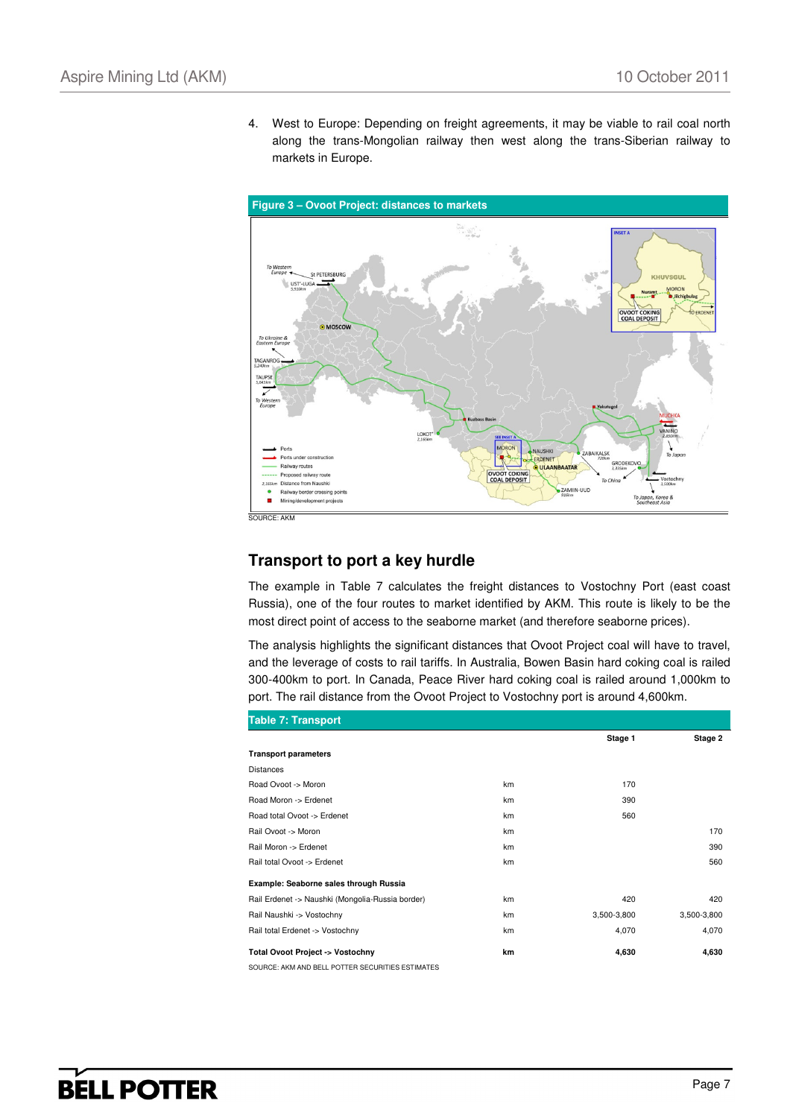**Figure 3 – Ovoot Project: distances to markets**  KHUVSGUL UST'-LUGA **OVOOT OMOSCO** TAUPS LOKO **AIKALSK** Ports unde GRODE silway routes ULAANBAATAR Proposed railway rout Distance from Naushk ZAMIIN-UUD vay border crossing po To Japan<br>Southe Korea & × Mining/development projects  $S$ OURCE

4. West to Europe: Depending on freight agreements, it may be viable to rail coal north along the trans-Mongolian railway then west along the trans-Siberian railway to

#### **Transport to port a key hurdle**

markets in Europe.

The example in Table 7 calculates the freight distances to Vostochny Port (east coast Russia), one of the four routes to market identified by AKM. This route is likely to be the most direct point of access to the seaborne market (and therefore seaborne prices).

The analysis highlights the significant distances that Ovoot Project coal will have to travel, and the leverage of costs to rail tariffs. In Australia, Bowen Basin hard coking coal is railed 300-400km to port. In Canada, Peace River hard coking coal is railed around 1,000km to port. The rail distance from the Ovoot Project to Vostochny port is around 4,600km.

| Table 7: Transport                               |    |             |             |
|--------------------------------------------------|----|-------------|-------------|
|                                                  |    | Stage 1     | Stage 2     |
| <b>Transport parameters</b>                      |    |             |             |
| <b>Distances</b>                                 |    |             |             |
| Road Ovoot -> Moron                              | km | 170         |             |
| Road Moron -> Erdenet                            | km | 390         |             |
| Road total Ovoot -> Erdenet                      | km | 560         |             |
| Rail Ovoot -> Moron                              | km |             | 170         |
| Rail Moron -> Erdenet                            | km |             | 390         |
| Rail total Ovoot -> Erdenet                      | km |             | 560         |
| Example: Seaborne sales through Russia           |    |             |             |
| Rail Erdenet -> Naushki (Mongolia-Russia border) | km | 420         | 420         |
| Rail Naushki -> Vostochny                        | km | 3,500-3,800 | 3,500-3,800 |
| Rail total Erdenet -> Vostochny                  | km | 4,070       | 4,070       |
| Total Ovoot Project -> Vostochny                 | km | 4,630       | 4,630       |
| SOURCE: AKM AND BELL POTTER SECURITIES ESTIMATES |    |             |             |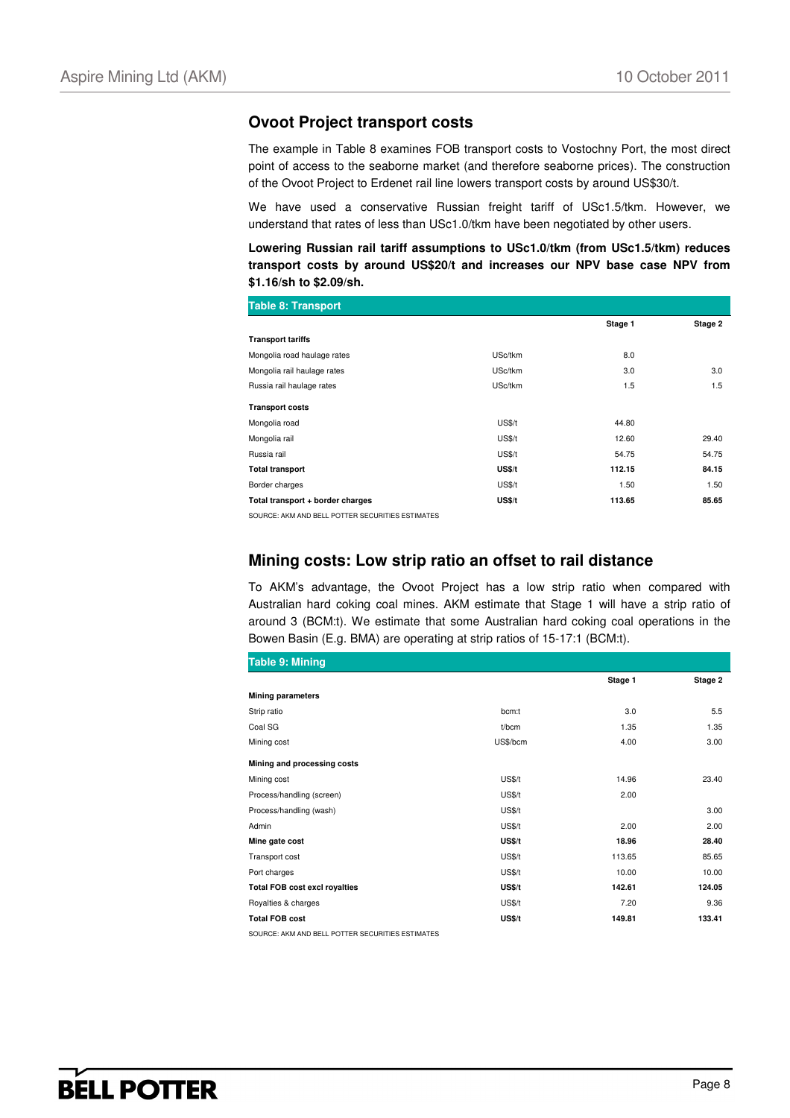#### **Ovoot Project transport costs**

The example in Table 8 examines FOB transport costs to Vostochny Port, the most direct point of access to the seaborne market (and therefore seaborne prices). The construction of the Ovoot Project to Erdenet rail line lowers transport costs by around US\$30/t.

We have used a conservative Russian freight tariff of USc1.5/tkm. However, we understand that rates of less than USc1.0/tkm have been negotiated by other users.

**Lowering Russian rail tariff assumptions to USc1.0/tkm (from USc1.5/tkm) reduces transport costs by around US\$20/t and increases our NPV base case NPV from \$1.16/sh to \$2.09/sh.**

| <b>Table 8: Transport</b>        |               |         |         |
|----------------------------------|---------------|---------|---------|
|                                  |               | Stage 1 | Stage 2 |
| <b>Transport tariffs</b>         |               |         |         |
| Mongolia road haulage rates      | USc/tkm       | 8.0     |         |
| Mongolia rail haulage rates      | USc/tkm       | 3.0     | 3.0     |
| Russia rail haulage rates        | USc/tkm       | 1.5     | 1.5     |
| <b>Transport costs</b>           |               |         |         |
| Mongolia road                    | <b>US\$/t</b> | 44.80   |         |
| Mongolia rail                    | <b>US\$/t</b> | 12.60   | 29.40   |
| Russia rail                      | <b>US\$/t</b> | 54.75   | 54.75   |
| <b>Total transport</b>           | US\$/t        | 112.15  | 84.15   |
| Border charges                   | <b>US\$/t</b> | 1.50    | 1.50    |
| Total transport + border charges | US\$/t        | 113.65  | 85.65   |

SOURCE: AKM AND BELL POTTER SECURITIES ESTIMATES

#### **Mining costs: Low strip ratio an offset to rail distance**

To AKM's advantage, the Ovoot Project has a low strip ratio when compared with Australian hard coking coal mines. AKM estimate that Stage 1 will have a strip ratio of around 3 (BCM:t). We estimate that some Australian hard coking coal operations in the Bowen Basin (E.g. BMA) are operating at strip ratios of 15-17:1 (BCM:t).

| Table 9: Mining                                  |               |         |         |
|--------------------------------------------------|---------------|---------|---------|
|                                                  |               | Stage 1 | Stage 2 |
| <b>Mining parameters</b>                         |               |         |         |
| Strip ratio                                      | bcm:t         | 3.0     | 5.5     |
| Coal SG                                          | t/bcm         | 1.35    | 1.35    |
| Mining cost                                      | US\$/bcm      | 4.00    | 3.00    |
| Mining and processing costs                      |               |         |         |
| Mining cost                                      | <b>US\$/t</b> | 14.96   | 23.40   |
| Process/handling (screen)                        | <b>US\$/t</b> | 2.00    |         |
| Process/handling (wash)                          | <b>US\$/t</b> |         | 3.00    |
| Admin                                            | <b>US\$/t</b> | 2.00    | 2.00    |
| Mine gate cost                                   | US\$/t        | 18.96   | 28.40   |
| Transport cost                                   | <b>US\$/t</b> | 113.65  | 85.65   |
| Port charges                                     | <b>US\$/t</b> | 10.00   | 10.00   |
| <b>Total FOB cost excl royalties</b>             | US\$/t        | 142.61  | 124.05  |
| Royalties & charges                              | <b>US\$/t</b> | 7.20    | 9.36    |
| <b>Total FOB cost</b>                            | US\$/t        | 149.81  | 133.41  |
| SOURCE: AKM AND BELL POTTER SECURITIES ESTIMATES |               |         |         |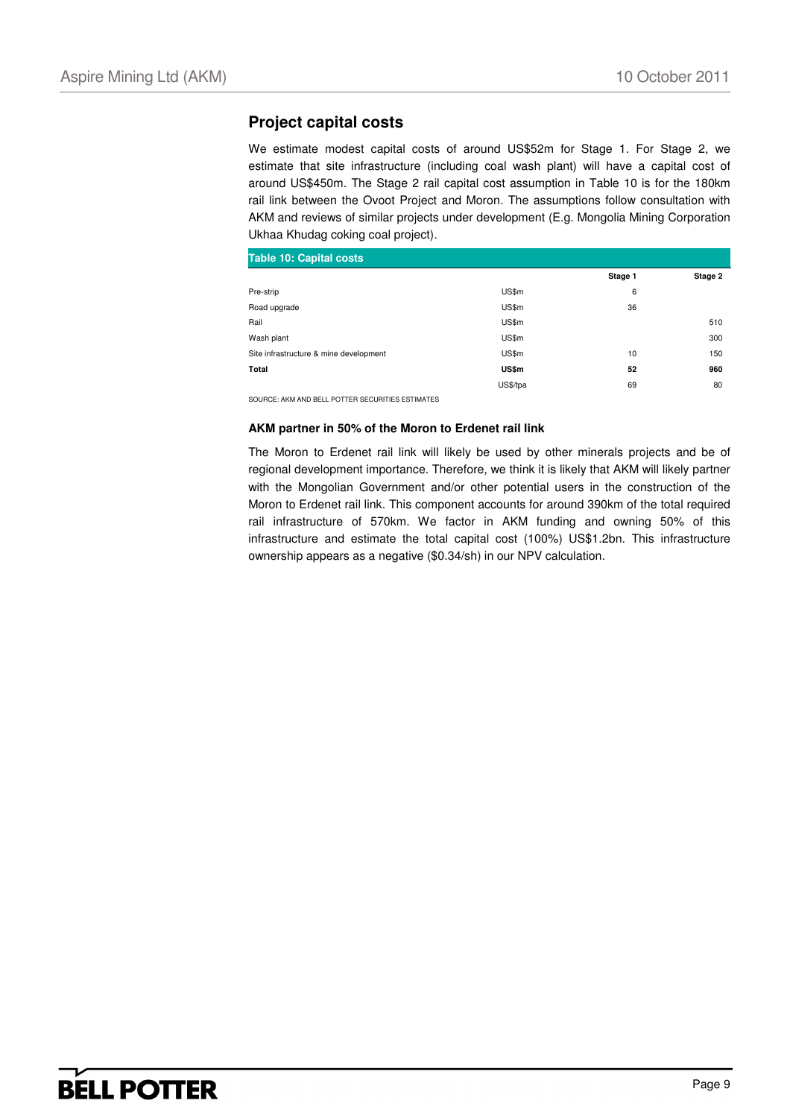### **Project capital costs**

We estimate modest capital costs of around US\$52m for Stage 1. For Stage 2, we estimate that site infrastructure (including coal wash plant) will have a capital cost of around US\$450m. The Stage 2 rail capital cost assumption in Table 10 is for the 180km rail link between the Ovoot Project and Moron. The assumptions follow consultation with AKM and reviews of similar projects under development (E.g. Mongolia Mining Corporation Ukhaa Khudag coking coal project).

| <b>Table 10: Capital costs</b>         |          |         |         |
|----------------------------------------|----------|---------|---------|
|                                        |          | Stage 1 | Stage 2 |
| Pre-strip                              | US\$m    | 6       |         |
| Road upgrade                           | US\$m    | 36      |         |
| Rail                                   | US\$m    |         | 510     |
| Wash plant                             | US\$m    |         | 300     |
| Site infrastructure & mine development | US\$m    | 10      | 150     |
| Total                                  | US\$m    | 52      | 960     |
|                                        | US\$/tpa | 69      | 80      |

SOURCE: AKM AND BELL POTTER SECURITIES ESTIMATES

#### **AKM partner in 50% of the Moron to Erdenet rail link**

The Moron to Erdenet rail link will likely be used by other minerals projects and be of regional development importance. Therefore, we think it is likely that AKM will likely partner with the Mongolian Government and/or other potential users in the construction of the Moron to Erdenet rail link. This component accounts for around 390km of the total required rail infrastructure of 570km. We factor in AKM funding and owning 50% of this infrastructure and estimate the total capital cost (100%) US\$1.2bn. This infrastructure ownership appears as a negative (\$0.34/sh) in our NPV calculation.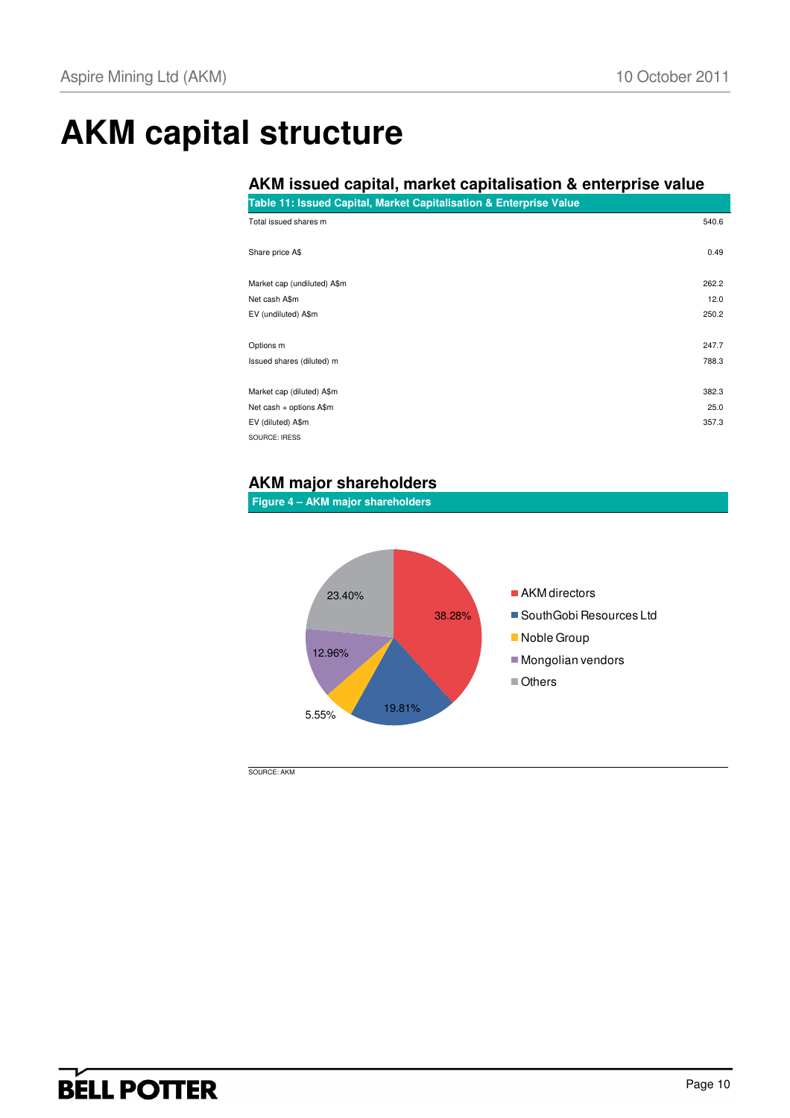# **AKM capital structure**

## **AKM issued capital, market capitalisation & enterprise value**

| Table 11: Issued Capital, Market Capitalisation & Enterprise Value |  |  |
|--------------------------------------------------------------------|--|--|

| Total issued shares m       | 540.6 |
|-----------------------------|-------|
| Share price A\$             | 0.49  |
| Market cap (undiluted) A\$m | 262.2 |
| Net cash A\$m               | 12.0  |
| EV (undiluted) A\$m         | 250.2 |
| Options m                   | 247.7 |
| Issued shares (diluted) m   | 788.3 |
| Market cap (diluted) A\$m   | 382.3 |
| Net cash + options A\$m     | 25.0  |
| EV (diluted) A\$m           | 357.3 |
| SOURCE: IRESS               |       |

## **AKM major shareholders**

**Figure 4 – AKM major shareholders** 



SOURCE: AKM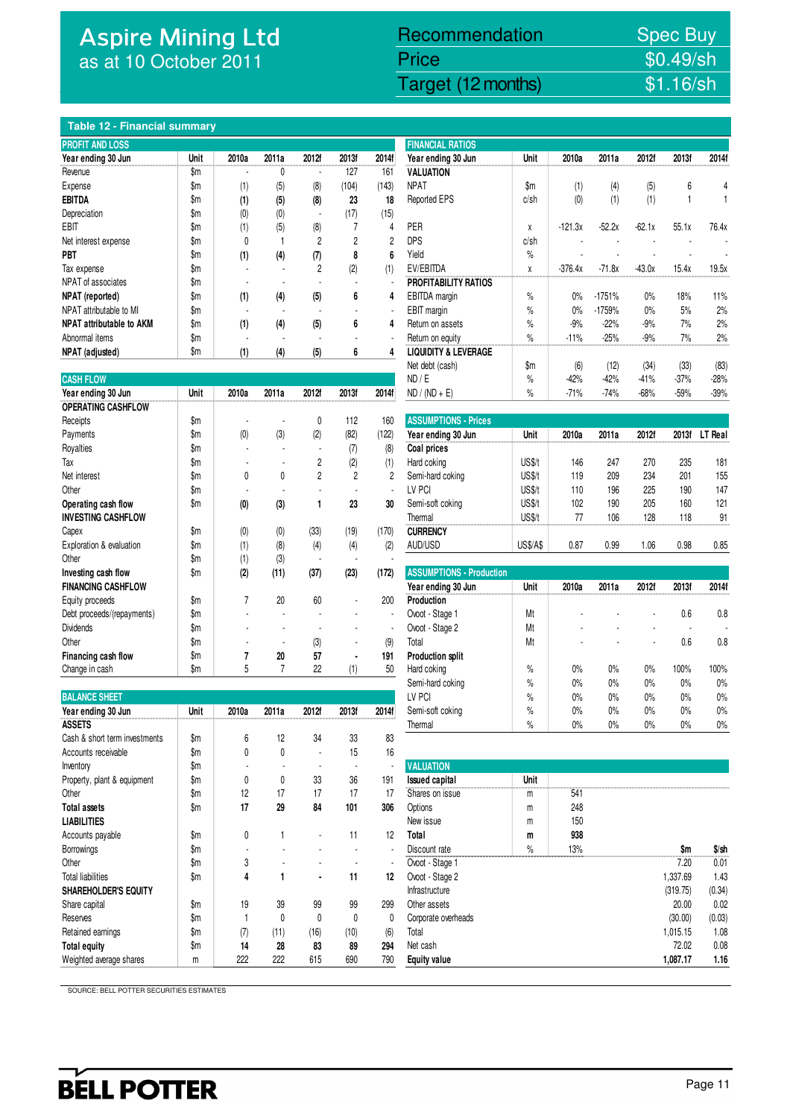## Aspire Mining Ltd as at 10 October 2011

## Recommendation Spec Buy

Price \$0.49/sh

Aspire Mining Ltd (AKM) 10 October 2011 12 October 2012 12 October 2011 10 October 2011 16/sh

#### **Table 12 - Financial summary**

| <b>PROFIT AND LOSS</b>          |                         |                  |       |       |       |       | <b>FINANCIAL RATIOS</b>         |               |           |          |          |       |       |  |
|---------------------------------|-------------------------|------------------|-------|-------|-------|-------|---------------------------------|---------------|-----------|----------|----------|-------|-------|--|
| Year ending 30 Jun              | Unit                    | 2010a            | 2011a | 2012f | 2013f | 2014f | Year ending 30 Jun              | Unit          | 2010a     | 2011a    | 2012f    | 2013f | 2014f |  |
| Revenue                         | \$m                     |                  |       |       | 127   | 161   | <b>VALUATION</b>                |               |           |          |          |       |       |  |
| Expense                         | \$m                     | (1)              | (5)   | (8)   | (104) | (143) | <b>NPAT</b>                     | $\mathsf{Sm}$ | (1)       | (4)      | (5)      | 6     |       |  |
| <b>EBITDA</b>                   | \$m                     | (1)              | (5)   | (8)   | 23    | 18    | Reported EPS                    | c/sh          | (0)       | (1)      | (1)      |       |       |  |
| Depreciation                    | \$m                     | $\left(0\right)$ | (0)   | ۰     | (17)  | (15)  |                                 |               |           |          |          |       |       |  |
| EBIT                            | \$m                     | (1)              | (5)   | (8)   |       | 4     | PER                             | X             | $-121.3x$ | $-52.2x$ | $-62.1x$ | 55.1x | 76.4x |  |
| Net interest expense            | \$m                     | 0                |       |       | 2     | 2     | <b>DPS</b>                      | c/sh          |           |          |          |       |       |  |
| PBT                             | \$m                     | (1)              | (4)   | (7)   | 8     | 6     | Yield                           | $\%$          |           |          |          |       |       |  |
| Tax expense                     | \$m                     |                  |       |       | (2)   | (1)   | EV/EBITDA                       | X             | $-376.4x$ | $-71.8x$ | $-43.0x$ | 15.4x | 19.5x |  |
| NPAT of associates              | $\mathop{\$m}\nolimits$ |                  |       |       |       |       | PROFITABILITY RATIOS            |               |           |          |          |       |       |  |
| NPAT (reported)                 | \$m                     | (1)              | (4)   | (5)   | 6     | 4     | EBITDA margin                   | $\%$          | 0%        | $-1751%$ | 0%       | 18%   | 11%   |  |
| NPAT attributable to MI         | $\mathop{\$m}\nolimits$ |                  |       |       |       |       | EBIT margin                     | $\%$          | 0%        | $-1759%$ | 0%       | 5%    | 2%    |  |
| <b>NPAT attributable to AKM</b> | \$m                     | (1)              | (4)   | (5)   | 6     | 4     | Return on assets                | $\%$          | $-9%$     | $-22%$   | $-9%$    | 7%    | 2%    |  |
| Abnormal items                  | \$m                     |                  |       |       |       |       | Return on equity                | $\%$          | $-11%$    | $-25%$   | $-9%$    | 7%    | 2%    |  |
| NPAT (adjusted)                 | \$m                     | (1)              | (4)   | (5)   | 6     |       | <b>LIQUIDITY &amp; LEVERAGE</b> |               |           |          |          |       |       |  |

| <b>CASH FLOW</b>           |               |       |       |                |                |       | ND / E                          | %               | -42%   | -42%   | -41%   | $-3/%$ | $-28%$  |
|----------------------------|---------------|-------|-------|----------------|----------------|-------|---------------------------------|-----------------|--------|--------|--------|--------|---------|
| Year ending 30 Jun         | Unit          | 2010a | 2011a | 2012f          | 2013f          | 2014f | $ND / (ND + E)$                 | %               | $-71%$ | $-74%$ | $-68%$ | $-59%$ | $-39%$  |
| <b>OPERATING CASHFLOW</b>  |               |       |       |                |                |       |                                 |                 |        |        |        |        |         |
| Receipts                   | $\mathsf{Sm}$ |       |       | 0              | 112            | 160   | <b>ASSUMPTIONS - Prices</b>     |                 |        |        |        |        |         |
| Payments                   | \$m           | (0)   | (3)   | (2)            | (82)           | (122) | Year ending 30 Jun              | Unit            | 2010a  | 2011a  | 2012f  | 2013f  | LT Real |
| Royalties                  | \$m           |       |       |                | (7)            | (8)   | Coal prices                     |                 |        |        |        |        |         |
| Tax                        | \$m           |       |       | 2              | (2)            | (1)   | Hard coking                     | US\$/t          | 146    | 247    | 270    | 235    | 181     |
| Net interest               | \$m           | 0     | 0     | $\overline{c}$ | $\overline{2}$ | 2     | Semi-hard coking                | US\$/t          | 119    | 209    | 234    | 201    | 155     |
| Other                      | \$m           |       |       |                |                | ٠     | LV PCI                          | US\$/t          | 110    | 196    | 225    | 190    | 147     |
| Operating cash flow        | \$m           | (0)   | (3)   |                | 23             | 30    | Semi-soft coking                | US\$/t          | 102    | 190    | 205    | 160    | 121     |
| <b>INVESTING CASHFLOW</b>  |               |       |       |                |                |       | Thermal                         | US\$/t          | 77     | 106    | 128    | 118    | 91      |
| Capex                      | $\mathsf{Sm}$ | (0)   | (0)   | (33)           | (19)           | (170) | <b>CURRENCY</b>                 |                 |        |        |        |        |         |
| Exploration & evaluation   | \$m           | (1)   | (8)   | (4)            | (4)            | (2)   | AUD/USD                         | <b>US\$/A\$</b> | 0.87   | 0.99   | 1.06   | 0.98   | 0.85    |
| Other                      | \$m           | (1)   | (3)   |                |                |       |                                 |                 |        |        |        |        |         |
| Investing cash flow        | \$m           | (2)   | (11)  | (37)           | (23)           | (172) | <b>ASSUMPTIONS - Production</b> |                 |        |        |        |        |         |
| <b>FINANCING CASHFLOW</b>  |               |       |       |                |                |       | Year ending 30 Jun              | Unit            | 2010a  | 2011a  | 2012f  | 2013f  | 2014f   |
| Equity proceeds            | $\mathsf{Sm}$ | 7     | 20    | 60             |                | 200   | Production                      |                 |        |        |        |        |         |
| Debt proceeds/(repayments) | \$m           |       |       |                |                |       | Ovoot - Stage 1                 | Mt              |        |        |        | 0.6    | 0.8     |
| <b>Dividends</b>           | \$m           |       |       |                |                |       | Ovoot - Stage 2                 | Mt              |        |        |        |        |         |
| Other                      | \$m           |       |       | (3)            |                | (9)   | Total                           | Mt              |        |        |        | 0.6    | 0.8     |
| Financing cash flow        | \$m           |       | 20    | 57             | $\blacksquare$ | 191   | <b>Production split</b>         |                 |        |        |        |        |         |
| Change in cash             | \$m           | 5     |       | 22             | (1)            | 50    | Hard coking                     | $\frac{9}{6}$   | 0%     | 0%     | 0%     | 100%   | 100%    |

| <b>BALANCE SHEET</b>          |               |       |       |       |       |       | LV PCI                | $\%$ | 0%  | 0% | 0%    | 0%       | 0%      |
|-------------------------------|---------------|-------|-------|-------|-------|-------|-----------------------|------|-----|----|-------|----------|---------|
| Year ending 30 Jun            | Unit          | 2010a | 2011a | 2012f | 2013f | 2014f | Semi-soft coking      | $\%$ | 0%  | 0% | 0%    | 0%       | 0%      |
| <b>ASSETS</b>                 |               |       |       |       |       |       | Thermal               | $\%$ | 0%  | 0% | $0\%$ | 0%       | 0%      |
| Cash & short term investments | $\mathsf{Sm}$ | 6     | 12    | 34    | 33    | 83    |                       |      |     |    |       |          |         |
| Accounts receivable           | \$m           | 0     | 0     |       | 15    | 16    |                       |      |     |    |       |          |         |
| Inventory                     | \$m           |       |       |       |       |       | <b>VALUATION</b>      |      |     |    |       |          |         |
| Property, plant & equipment   | \$m           | 0     | 0     | 33    | 36    | 191   | <b>Issued capital</b> | Unit |     |    |       |          |         |
| Other                         | \$m           | 12    | 17    | 17    | 17    | 17    | Shares on issue       | m    | 541 |    |       |          |         |
| <b>Total assets</b>           | \$m           | 17    | 29    | 84    | 101   | 306   | Options               | m    | 248 |    |       |          |         |
| <b>LIABILITIES</b>            |               |       |       |       |       |       | New issue             | m    | 150 |    |       |          |         |
| Accounts payable              | $\mathsf{Sm}$ | 0     |       |       | 11    | 12    | Total                 | m    | 938 |    |       |          |         |
| <b>Borrowings</b>             | \$m           |       |       |       |       |       | Discount rate         | $\%$ | 13% |    |       | \$m      | $$$ /sh |
| Other                         | \$m           | 3     |       |       |       |       | Ovoot - Stage 1       |      |     |    |       | 7.20     | 0.01    |
| <b>Total liabilities</b>      | \$m           | 4     |       |       | 11    | 12    | Ovoot - Stage 2       |      |     |    |       | 1,337.69 | 1.43    |
| <b>SHAREHOLDER'S EQUITY</b>   |               |       |       |       |       |       | Infrastructure        |      |     |    |       | (319.75) | (0.34)  |
| Share capital                 | \$m           | 19    | 39    | 99    | 99    | 299   | Other assets          |      |     |    |       | 20.00    | 0.02    |
| Reserves                      | \$m           |       | 0     | 0     | 0     | 0     | Corporate overheads   |      |     |    |       | (30.00)  | (0.03)  |
| Retained earnings             | \$m           | (7)   | (11)  | (16)  | (10)  | (6)   | Total                 |      |     |    |       | 1,015.15 | 1.08    |
| <b>Total equity</b>           | \$m           | 14    | 28    | 83    | 89    | 294   | Net cash              |      |     |    |       | 72.02    | 0.08    |
| Weighted average shares       | m             | 222   | 222   | 615   | 690   | 790   | <b>Equity value</b>   |      |     |    |       | 1,087.17 | 1.16    |

|      |       |                                                      |                                                      |                                               |       | <b>FINANCIAL RATIOS</b>         |      |           |          |          |        |        |
|------|-------|------------------------------------------------------|------------------------------------------------------|-----------------------------------------------|-------|---------------------------------|------|-----------|----------|----------|--------|--------|
| Unit | 2010a | 2011a                                                | 2012f                                                | 2013f                                         | 2014f | Year ending 30 Jun              | Unit | 2010a     | 2011a    | 2012f    | 2013f  | 2014f  |
| \$m  |       | 0                                                    |                                                      | 127                                           | 161   | VALUATION                       |      |           |          |          |        |        |
| \$m  |       |                                                      |                                                      | (104)                                         | (143) | <b>NPAT</b>                     | \$m  | (1)       |          |          | 6      |        |
| \$m  |       |                                                      |                                                      | 23                                            | 18    | Reported EPS                    | c/sh | (0)       | (1)      | (1)      |        |        |
| \$m  |       |                                                      | $\blacksquare$                                       | (17)                                          | (15)  |                                 |      |           |          |          |        |        |
| \$m  |       |                                                      |                                                      |                                               | 4     | <b>PER</b>                      | χ    | $-121.3x$ | $-52.2x$ | $-62.1x$ | 55.1x  | 76.4x  |
| \$m  | 0     |                                                      | $\overline{2}$                                       | $\overline{2}$                                | 2     | <b>DPS</b>                      | c/sh |           |          |          |        |        |
| \$m  |       |                                                      |                                                      | 8                                             | 6     | Yield                           | $\%$ |           |          |          |        |        |
| \$m  |       |                                                      | $\overline{2}$                                       |                                               | (1)   | EV/EBITDA                       | χ    | $-376.4x$ | $-71.8x$ | $-43.0x$ | 15.4x  | 19.5x  |
| \$m  |       |                                                      |                                                      |                                               |       | <b>PROFITABILITY RATIOS</b>     |      |           |          |          |        |        |
| \$m  |       |                                                      |                                                      | 6                                             | 4     | EBITDA margin                   | %    | 0%        | $-1751%$ | 0%       | 18%    | 11%    |
| \$m  |       |                                                      |                                                      |                                               |       | EBIT margin                     | %    | 0%        | -1759%   | 0%       | 5%     | 2%     |
| \$m  |       |                                                      |                                                      | 6                                             | 4     | Return on assets                | %    | $-9%$     | $-22%$   | $-9%$    | 7%     | 2%     |
| \$m  |       |                                                      |                                                      |                                               |       | Return on equity                | $\%$ | $-11%$    | $-25%$   | $-9%$    | 7%     | 2%     |
| \$m  |       |                                                      |                                                      | 6                                             |       | <b>LIQUIDITY &amp; LEVERAGE</b> |      |           |          |          |        |        |
|      |       |                                                      |                                                      |                                               |       | Net debt (cash)                 | \$m  | (6)       | (12)     | (34)     | (33)   | (83)   |
|      |       |                                                      |                                                      |                                               |       | ND / E                          | %    | $-42%$    | $-42%$   | $-41%$   | $-37%$ | $-28%$ |
| Unit | 2010a | 2011a                                                | 2012f                                                | 2013f                                         | 2014f | $ND / (ND + E)$                 | $\%$ | $-71%$    | $-74%$   | $-68%$   | $-59%$ | $-39%$ |
|      |       | (1)<br>(1)<br>(0)<br>(1)<br>(1)<br>(1)<br>(1)<br>(1) | (5)<br>(5)<br>(0)<br>(5)<br>(4)<br>(4)<br>(4)<br>(4) | (8)<br>(8)<br>(8)<br>(7)<br>(5)<br>(5)<br>(5) | (2)   |                                 |      |           |          | (4)      | (5)    |        |

| Receipts                  | \$m |     |     |      | 112  | 160   | <b>ASSUMPTIONS - Prices</b> |                 |       |       |       |       |         |
|---------------------------|-----|-----|-----|------|------|-------|-----------------------------|-----------------|-------|-------|-------|-------|---------|
| Payments                  | \$m | (0) | (3) | (2)  | (82) | (122  | Year ending 30 Jun          | Unit            | 2010a | 2011a | 2012f | 2013f | LT Real |
| Royalties                 | \$m |     |     |      | 10   | (8)   | Coal prices                 |                 |       |       |       |       |         |
| Тах                       | \$m |     |     |      | (2)  | (1    | Hard coking                 | <b>JS\$/t</b>   | 146   | 247   | 270   | 235   | 181     |
| Net interest              | \$m | υ   |     |      |      |       | Semi-hard coking            | JS\$/t          | 119   | 209   | 234   | 201   | 155     |
| Other                     | \$m |     |     |      |      |       | LV PCI                      | JS\$/†          | 110   | 196   | 225   | 190   | 147     |
| Operating cash flow       | \$m | (0) | (3) |      | 23   | 30    | Semi-soft coking            | JS\$/t          | 102   | 190   | 205   | 160   | 121     |
| <b>INVESTING CASHFLOW</b> |     |     |     |      |      |       | Thermal                     | JS\$/t          |       | 106   | 128   | 118   | 91      |
| Capex                     | \$m | (0) | (0) | (33) | (19) | (170) | <b>CURRENCY</b>             |                 |       |       |       |       |         |
| Exploration & evaluation  | \$m | (1) | (8) | (4)  | (4)  | (2)   | AUD/USD                     | <b>US\$/A\$</b> | 0.87  | 0.99  | .06   | 0.98  | 0.85    |

|                            | <b>P.I.</b> | $\cdots$ | $\mathcal{L}$ |       |                |       |                                 |      |       |       |       |       |       |
|----------------------------|-------------|----------|---------------|-------|----------------|-------|---------------------------------|------|-------|-------|-------|-------|-------|
| Investing cash flow        | \$m         | (2)      | (11)          | (37)  | (23)           | (172) | <b>ASSUMPTIONS - Production</b> |      |       |       |       |       |       |
| <b>FINANCING CASHFLOW</b>  |             |          |               |       |                |       | Year ending 30 Jun              | Unit | 2010a | 2011a | 2012f | 2013f | 2014f |
| Equity proceeds            | \$m         |          | 20            | 60    | ۰.             | 200   | <b>Production</b>               |      |       |       |       |       |       |
| Debt proceeds/(repayments) | \$m         |          |               |       |                |       | Ovoot - Stage 1                 | Mt   |       |       |       | 0.6   | 0.8   |
| <b>Dividends</b>           | \$m         |          |               |       |                |       | Ovoot - Stage 2                 | Mt   |       |       |       |       |       |
| Other                      | \$m         |          |               | (3)   |                | (9)   | Total                           | Mt   |       |       |       | 0.6   | 0.8   |
| Financing cash flow        | \$m         |          | 20            | 57    | $\blacksquare$ | 191   | <b>Production split</b>         |      |       |       |       |       |       |
| Change in cash             | \$m         | 5        |               | 22    | (1)            | 50    | Hard coking                     | $\%$ | 0%    | 0%    | 0%    | 100%  | 100%  |
|                            |             |          |               |       |                |       | Semi-hard coking                | $\%$ | 0%    | 0%    | 0%    | $0\%$ | 0%    |
| <b>BALANCE SHEET</b>       |             |          |               |       |                |       | LV PCI                          | $\%$ | 0%    | 0%    | 0%    | $0\%$ | 0%    |
| Year ending 30 Jun         | Unit        | 2010a    | 2011a         | 2012f | 2013f          | 2014f | Semi-soft coking                | $\%$ | 0%    | 0%    | 0%    | 0%    | 0%    |
| ASSETS                     |             |          |               |       |                |       | Thermal                         | $\%$ | 0%    | 0%    | 0%    | $0\%$ | 0%    |

| Inventory                   | $\mathsf{Sm}$ |     |      |      |      |     | <b>VALUATION</b>      |             |     |          |        |
|-----------------------------|---------------|-----|------|------|------|-----|-----------------------|-------------|-----|----------|--------|
| Property, plant & equipment | \$m           | 0   | 0    | 33   | 36   | 191 | <b>Issued capital</b> | <b>Unit</b> |     |          |        |
| Other                       | \$m           | 12  | 17   | 17   | 17   | 17  | Shares on issue       | m           | 541 |          |        |
| <b>Total assets</b>         | \$m           | 17  | 29   | 84   | 101  | 306 | Options               | m           | 248 |          |        |
| LIABILITIES                 |               |     |      |      |      |     | New issue             | m           | 150 |          |        |
| Accounts payable            | \$m           | 0   |      |      | 11   | 12  | Total                 | m           | 938 |          |        |
| Borrowings                  | \$m           |     |      |      |      |     | Discount rate         | $\%$        | 13% | \$m      | \$/sh  |
| Other                       | \$m           | 3   |      |      |      |     | Ovoot - Stage 1       |             |     | 7.20     | 0.01   |
| <b>Total liabilities</b>    | \$m           | 4   |      | ٠    | 11   | 12  | Ovoot - Stage 2       |             |     | 1,337.69 | 1.43   |
| SHAREHOLDER'S EQUITY        |               |     |      |      |      |     | Infrastructure        |             |     | (319.75) | (0.34) |
| Share capital               | \$m           | 19  | 39   | 99   | 99   | 299 | Other assets          |             |     | 20.00    | 0.02   |
| Reserves                    | \$m           |     | 0    | 0    | 0    | 0   | Corporate overheads   |             |     | (30.00)  | (0.03) |
| Retained earnings           | \$m           | (7) | (11) | (16) | (10) | (6) | Total                 |             |     | 1.015.15 | 1.08   |
| Total equity                | \$m           | 14  | 28   | 83   | 89   | 294 | Net cash              |             |     | 72.02    | 0.08   |
| Weighted average shares     | m             | 222 | 222  | 615  | 690  | 790 | <b>Equity value</b>   |             |     | 1,087.17 | 1.16   |
|                             |               |     |      |      |      |     |                       |             |     |          |        |

SOURCE: BELL POTTER SECURITIES ESTIMATES